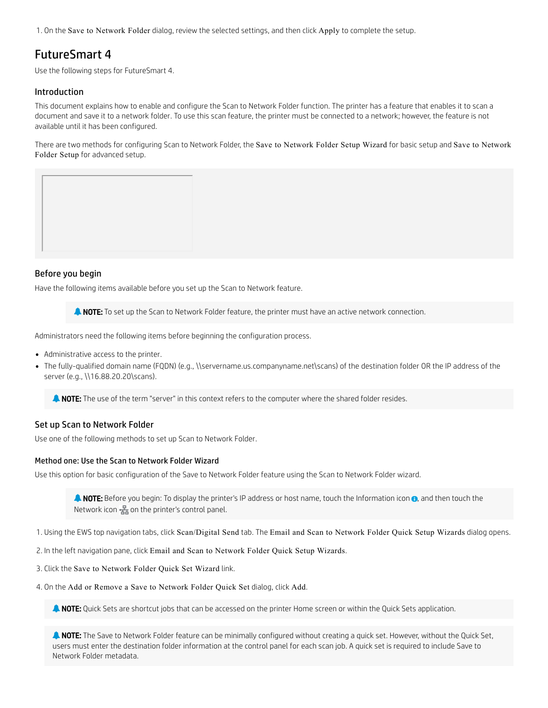1. On the Save to Network Folder dialog, review the selected settings, and then click Apply to complete the setup.

# FutureSmart 4

Use the following steps for FutureSmart 4.

# Introduction

This document explains how to enable and configure the Scan to Network Folder function. The printer has a feature that enables it to scan a document and save it to a network folder. To use this scan feature, the printer must be connected to a network; however, the feature is not available until it has been configured.

There are two methods for configuring Scan to Network Folder, the Save to Network Folder Setup Wizard for basic setup and Save to Network Folder Setup for advanced setup.



Have the following items available before you set up the Scan to Network feature.

**A NOTE:** To set up the Scan to Network Folder feature, the printer must have an active network connection.

Administrators need the following items before beginning the configuration process.

- Administrative access to the printer.
- The fully-qualified domain name (FQDN) (e.g., \\servername.us.companyname.net\scans) of the destination folder OR the IP address of the server (e.g., \\16.88.20.20\scans).

**NOTE:** The use of the term "server" in this context refers to the computer where the shared folder resides.

# Set up Scan to Network Folder

Use one of the following methods to set up Scan to Network Folder.

# Method one: Use the Scan to Network Folder Wizard

Use this option for basic configuration of the Save to Network Folder feature using the Scan to Network Folder wizard.

**A NOTE:** Before you begin: To display the printer's IP address or host name, touch the Information icon **0**, and then touch the Network icon  $\frac{1}{200}$  on the printer's control panel.

1. Using the EWS top navigation tabs, click Scan/Digital Send tab. The Email and Scan to Network Folder Quick Setup Wizards dialog opens.

2. In the left navigation pane, click Email and Scan to Network Folder Quick Setup Wizards.

3. Click the Save to Network Folder Quick Set Wizard link.

4. On the Add or Remove a Save to Network Folder Quick Set dialog, click Add.

**A NOTE:** Quick Sets are shortcut jobs that can be accessed on the printer Home screen or within the Quick Sets application.

**A NOTE:** The Save to Network Folder feature can be minimally configured without creating a quick set. However, without the Quick Set, users must enter the destination folder information at the control panel for each scan job. A quick set is required to include Save to Network Folder metadata.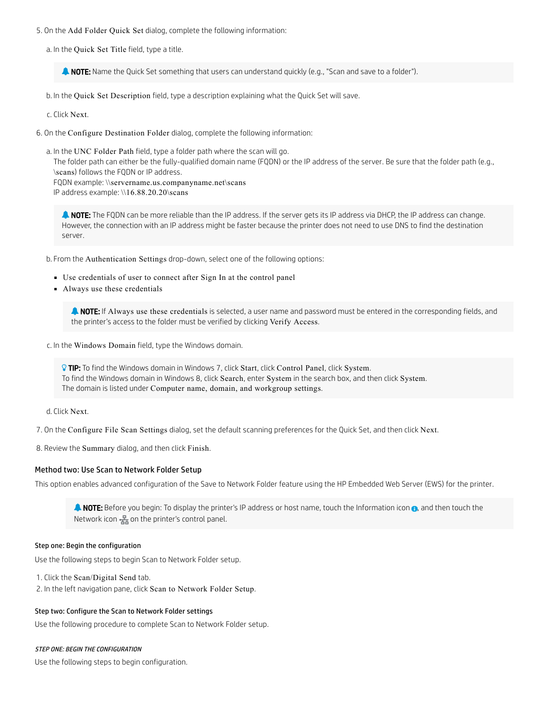5. On the Add Folder Quick Set dialog, complete the following information:

a. In the Quick Set Title field, type a title.

**A NOTE:** Name the Quick Set something that users can understand quickly (e.g., "Scan and save to a folder").

b. In the Quick Set Description field, type a description explaining what the Quick Set will save.

c. Click Next.

6. On the Configure Destination Folder dialog, complete the following information:

a. In the UNC Folder Path field, type a folder path where the scan will go.

The folder path can either be the fully-qualified domain name (FQDN) or the IP address of the server. Be sure that the folder path (e.g., \scans) follows the FQDN or IP address.

FQDN example: \\servername.us.companyname.net\scans IP address example: \\16.88.20.20\scans

**A NOTE:** The FQDN can be more reliable than the IP address. If the server gets its IP address via DHCP, the IP address can change. However, the connection with an IP address might be faster because the printer does not need to use DNS to find the destination server.

b. From the Authentication Settings drop-down, select one of the following options:

- Use credentials of user to connect after Sign In at the control panel
- Always use these credentials

**A NOTE:** If Always use these credentials is selected, a user name and password must be entered in the corresponding fields, and the printer's access to the folder must be verified by clicking Verify Access.

c. In the Windows Domain field, type the Windows domain.

**TIP:** To find the Windows domain in Windows 7, click Start, click Control Panel, click System. To find the Windows domain in Windows 8, click Search, enter System in the search box, and then click System. The domain is listed under Computer name, domain, and workgroup settings.

d. Click Next.

7. On the Configure File Scan Settings dialog, set the default scanning preferences for the Quick Set, and then click Next.

8. Review the Summary dialog, and then click Finish.

# Method two: Use Scan to Network Folder Setup

This option enables advanced configuration of the Save to Network Folder feature using the HP Embedded Web Server (EWS) for the printer.

**A NOTE:** Before you begin: To display the printer's IP address or host name, touch the Information icon  $\theta$ , and then touch the Network icon  $\frac{1}{2}$  on the printer's control panel.

# Step one: Begin the configuration

Use the following steps to begin Scan to Network Folder setup.

1. Click the Scan/Digital Send tab.

2. In the left navigation pane, click Scan to Network Folder Setup.

# Step two: Configure the Scan to Network Folder settings

Use the following procedure to complete Scan to Network Folder setup.

# STEP ONE: BEGIN THE CONFIGURATION

Use the following steps to begin configuration.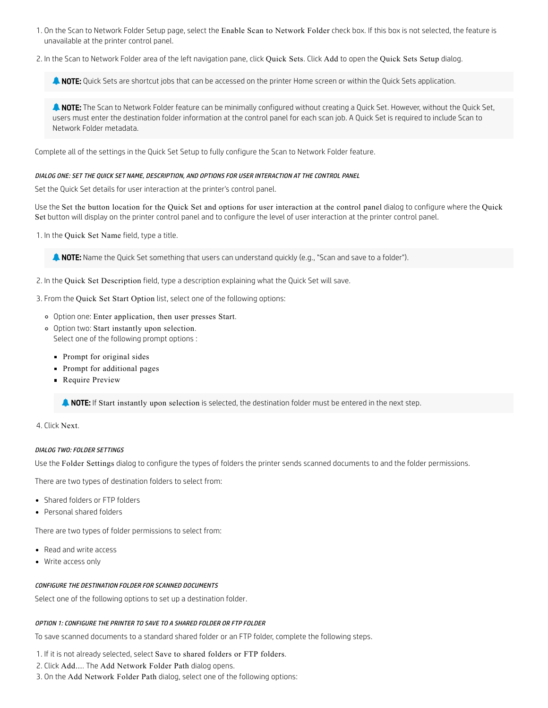- 1. On the Scan to Network Folder Setup page, select the Enable Scan to Network Folder check box. If this box is not selected, the feature is unavailable at the printer control panel.
- 2. In the Scan to Network Folder area of the left navigation pane, click Quick Sets. Click Add to open the Quick Sets Setup dialog.

**A NOTE:** Quick Sets are shortcut jobs that can be accessed on the printer Home screen or within the Quick Sets application.

**A NOTE:** The Scan to Network Folder feature can be minimally configured without creating a Quick Set. However, without the Quick Set, users must enter the destination folder information at the control panel for each scan job. A Quick Set is required to include Scan to Network Folder metadata.

Complete all of the settings in the Quick Set Setup to fully configure the Scan to Network Folder feature.

# DIALOG ONE: SET THE QUICK SET NAME, DESCRIPTION, AND OPTIONS FOR USER INTERACTION AT THE CONTROL PANEL

Set the Quick Set details for user interaction at the printer's control panel.

Use the Set the button location for the Quick Set and options for user interaction at the control panel dialog to configure where the Quick Set button will display on the printer control panel and to configure the level of user interaction at the printer control panel.

1. In the Quick Set Name field, type a title.

**A NOTE:** Name the Quick Set something that users can understand quickly (e.g., "Scan and save to a folder").

2. In the Quick Set Description field, type a description explaining what the Quick Set will save.

3. From the Quick Set Start Option list, select one of the following options:

- Option one: Enter application, then user presses Start.
- Option two: Start instantly upon selection. Select one of the following prompt options :
	- **Prompt for original sides**
	- **Prompt for additional pages**
	- **Require Preview**

**NOTE:** If Start instantly upon selection is selected, the destination folder must be entered in the next step.

4. Click Next.

### DIALOG TWO: FOLDER SETTINGS

Use the Folder Settings dialog to configure the types of folders the printer sends scanned documents to and the folder permissions.

There are two types of destination folders to select from:

- Shared folders or FTP folders
- Personal shared folders

There are two types of folder permissions to select from:

- Read and write access
- Write access only

# CONFIGURE THE DESTINATION FOLDER FOR SCANNED DOCUMENTS

Select one of the following options to set up a destination folder.

### OPTION 1: CONFIGURE THE PRINTER TO SAVE TO A SHARED FOLDER OR FTP FOLDER

To save scanned documents to a standard shared folder or an FTP folder, complete the following steps.

1. If it is not already selected, select Save to shared folders or FTP folders.

2. Click Add.... The Add Network Folder Path dialog opens.

3. On the Add Network Folder Path dialog, select one of the following options: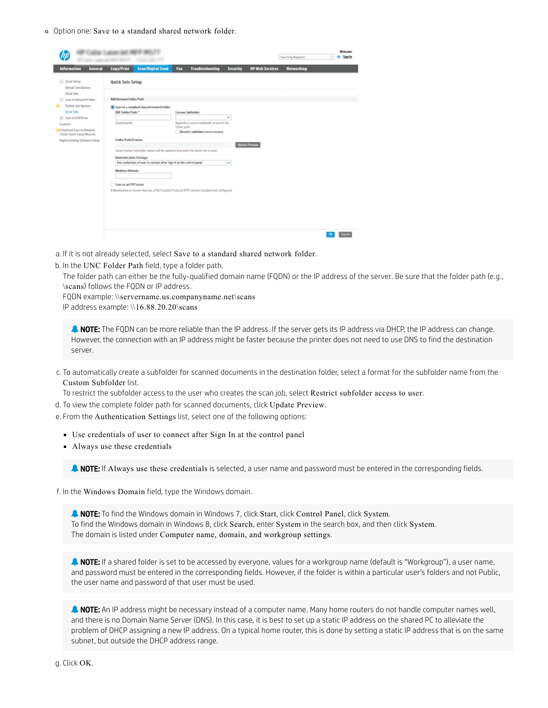Option one: Save to a standard shared network folder.

|                                                                           | at 1, percent layer was         |                                                                                                   |              |                                                                               |                          |                        | Search by Keyword | Welcome<br><b>Sign In</b><br>Ö. |
|---------------------------------------------------------------------------|---------------------------------|---------------------------------------------------------------------------------------------------|--------------|-------------------------------------------------------------------------------|--------------------------|------------------------|-------------------|---------------------------------|
| <b>Information</b><br><b>General</b>                                      | Copy/Print                      | <b>Scan/Digital Send</b>                                                                          | Fax          | <b>Troubleshooting</b>                                                        | <b>Security</b>          | <b>HP Web Services</b> | <b>Networking</b> |                                 |
| $=$ Email Setup<br>Default Job Options                                    | <b>Quick Sets Setup</b>         |                                                                                                   |              |                                                                               |                          |                        |                   |                                 |
| <b>Ouick Sets</b><br>- Scan to Network Folder<br>Default Job Options<br>А | <b>Add Network Folder Path</b>  | Save to a standard shared network folder                                                          |              |                                                                               |                          |                        |                   |                                 |
| <b>Quick Sets</b><br>+ Scan to USB Drive                                  | <b>UNC Folder Path:</b> *       |                                                                                                   |              | <b>Custom Subfolder:</b>                                                      | $\ddot{}$                |                        |                   |                                 |
| Contacts<br>A Email and Scan to Network<br>Folder Quick Setup Wizards     | (Upathlpath)                    |                                                                                                   | folder path. | Appends a custom subfolder at end of the<br>Restrict subfolder access to user |                          |                        |                   |                                 |
| Digital Sending Software Setup                                            | <b>Folder Path Preview:</b>     |                                                                                                   |              |                                                                               |                          | <b>Update Proview</b>  |                   |                                 |
|                                                                           | <b>Authentication Settings:</b> | Some Custom Subfolder values will be updated only when the Quick Set is used.                     |              |                                                                               |                          |                        |                   |                                 |
|                                                                           |                                 | Use credentials of user to connect after Sign In at the control panel                             |              |                                                                               | $\overline{\phantom{a}}$ |                        |                   |                                 |
|                                                                           | <b>Windows Domain:</b>          |                                                                                                   |              |                                                                               |                          |                        |                   |                                 |
|                                                                           | Save to an FTP Server           |                                                                                                   |              |                                                                               |                          |                        |                   |                                 |
|                                                                           |                                 | A Workstation or Server that has a File Transfer Protocol (FTP) service installed and configured. |              |                                                                               |                          |                        |                   |                                 |
|                                                                           |                                 |                                                                                                   |              |                                                                               |                          |                        |                   |                                 |
|                                                                           |                                 |                                                                                                   |              |                                                                               |                          |                        |                   |                                 |
|                                                                           |                                 |                                                                                                   |              |                                                                               |                          |                        |                   |                                 |
|                                                                           |                                 |                                                                                                   |              |                                                                               |                          |                        |                   | Cancel                          |

- a. If it is not already selected, select Save to a standard shared network folder.
- b. In the UNC Folder Path field, type a folder path.

The folder path can either be the fully-qualified domain name (FQDN) or the IP address of the server. Be sure that the folder path (e.g., \scans) follows the FQDN or IP address.

FQDN example: \\servername.us.companyname.net\scans

IP address example: \\16.88.20.20\scans

**A NOTE:** The FQDN can be more reliable than the IP address. If the server gets its IP address via DHCP, the IP address can change. However, the connection with an IP address might be faster because the printer does not need to use DNS to find the destination server.

c. To automatically create a subfolder for scanned documents in the destination folder, select a format for the subfolder name from the Custom Subfolder list.

To restrict the subfolder access to the user who creates the scan job, select Restrict subfolder access to user.

- d. To view the complete folder path for scanned documents, click Update Preview.
- e. From the Authentication Settings list, select one of the following options:
	- Use credentials of user to connect after Sign In at the control panel
	- Always use these credentials

**A NOTE:** If Always use these credentials is selected, a user name and password must be entered in the corresponding fields.

f. In the Windows Domain field, type the Windows domain.

**A NOTE:** To find the Windows domain in Windows 7, click Start, click Control Panel, click System. To find the Windows domain in Windows 8, click Search, enter System in the search box, and then click System. The domain is listed under Computer name, domain, and workgroup settings.

A NOTE: If a shared folder is set to be accessed by everyone, values for a workgroup name (default is "Workgroup"), a user name, and password must be entered in the corresponding fields. However, if the folder is within a particular user's folders and not Public, the user name and password of that user must be used.

**A NOTE:** An IP address might be necessary instead of a computer name. Many home routers do not handle computer names well, and there is no Domain Name Server (DNS). In this case, it is best to set up a static IP address on the shared PC to alleviate the problem of DHCP assigning a new IP address. On a typical home router, this is done by setting a static IP address that is on the same subnet, but outside the DHCP address range.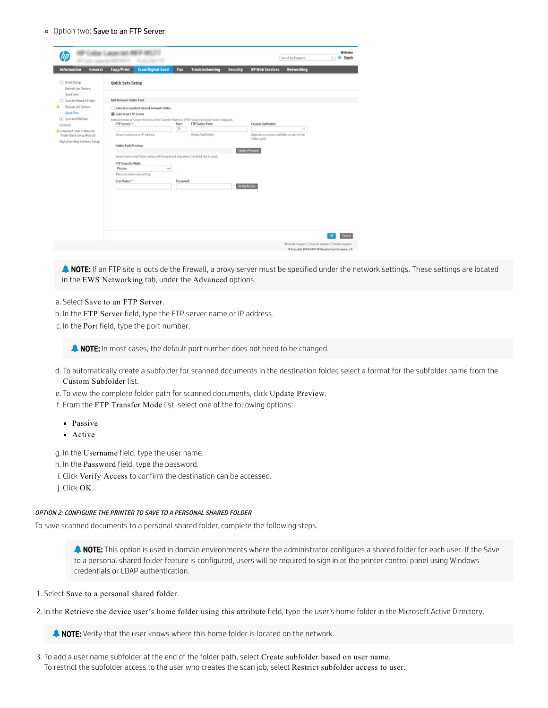### o Option two: Save to an FTP Server.

| <b>Information</b><br><b>General</b>                                                                                                                                                     | <b>Copy/Print</b>                                                                   | <b>Scan/Digital Send</b>                                                                                                                                                       | Fax         | <b>Troubleshooting</b>                        | <b>Security</b>      | <b>HP Web Services</b>                                                                                        | <b>Networking</b> |  |
|------------------------------------------------------------------------------------------------------------------------------------------------------------------------------------------|-------------------------------------------------------------------------------------|--------------------------------------------------------------------------------------------------------------------------------------------------------------------------------|-------------|-----------------------------------------------|----------------------|---------------------------------------------------------------------------------------------------------------|-------------------|--|
| $-$ Email Setup<br>Default Job Options                                                                                                                                                   | <b>Quick Sets Setup</b>                                                             |                                                                                                                                                                                |             |                                               |                      |                                                                                                               |                   |  |
| <b>Quick Sets</b><br>- Scan to Network Folder                                                                                                                                            | <b>Add Network Folder Path</b>                                                      |                                                                                                                                                                                |             |                                               |                      |                                                                                                               |                   |  |
| <b>Default Job Options</b><br><b>Quick Sets</b><br>+ Scan to USB Drive<br>Contacts<br>A Email and Scan to Notwork<br>Folder Quick Setup Wizards<br><b>Digital Sending Software Setup</b> | Save to an FTP Server<br>FTP Server: *<br><b>Folder Path Preview:</b>               | Save to a standard shared network folder<br>A Workstation or Server that has a File Transfer Protocol (FTP) service installed and configured.<br>Server hostname or IP address | Port:<br>21 | <b>FTP Folder Path:</b><br>(folder/subfolder) |                      | <b>Custom Subfolder:</b><br>Appends a custom subfolder at end of the<br>folder path.<br><b>Update Preview</b> | $\ddot{}$         |  |
|                                                                                                                                                                                          | <b>FTP Transfer Mode</b><br>Passive<br>This is an advanced setting.<br>User Name: * | Some Custom Subfolder values will be updated only when the Quick Set is used.<br>$\checkmark$                                                                                  | Password:   |                                               | <b>Verify Access</b> |                                                                                                               |                   |  |
|                                                                                                                                                                                          |                                                                                     |                                                                                                                                                                                |             |                                               |                      |                                                                                                               |                   |  |
|                                                                                                                                                                                          |                                                                                     |                                                                                                                                                                                |             |                                               |                      |                                                                                                               |                   |  |

**A NOTE:** If an FTP site is outside the firewall, a proxy server must be specified under the network settings. These settings are located in the EWS Networking tab, under the Advanced options.

# a. Select Save to an FTP Server.

- b. In the FTP Server field, type the FTP server name or IP address.
- c. In the Port field, type the port number.

**NOTE:** In most cases, the default port number does not need to be changed.

- d. To automatically create a subfolder for scanned documents in the destination folder, select a format for the subfolder name from the Custom Subfolder list.
- e. To view the complete folder path for scanned documents, click Update Preview.
- f. From the FTP Transfer Mode list, select one of the following options:
	- **Passive**
	- **Active**

g. In the Username field, type the user name.

- h. In the Password field, type the password.
- i. Click Verify Access to confirm the destination can be accessed.
- j. Click OK.

#### OPTION 2: CONFIGURE THE PRINTER TO SAVE TO A PERSONAL SHARED FOLDER

To save scanned documents to a personal shared folder, complete the following steps.

**A NOTE:** This option is used in domain environments where the administrator configures a shared folder for each user. If the Save to a personal shared folder feature is configured, users will be required to sign in at the printer control panel using Windows credentials or LDAP authentication.

- 1. Select Save to a personal shared folder.
- 2. In the Retrieve the device user's home folder using this attribute field, type the user's home folder in the Microsoft Active Directory.

**A NOTE:** Verify that the user knows where this home folder is located on the network.

3. To add a user name subfolder at the end of the folder path, select Create subfolder based on user name. To restrict the subfolder access to the user who creates the scan job, select Restrict subfolder access to user.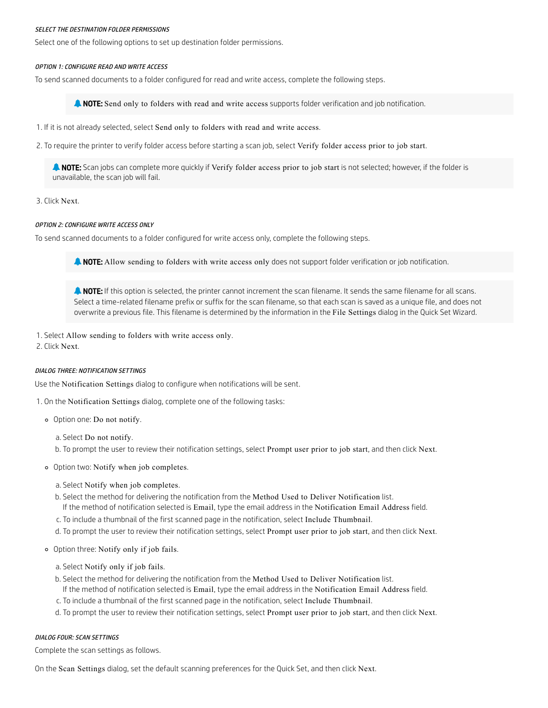#### SELECT THE DESTINATION FOLDER PERMISSIONS

Select one of the following options to set up destination folder permissions.

### OPTION 1: CONFIGURE READ AND WRITE ACCESS

To send scanned documents to a folder configured for read and write access, complete the following steps.

**A NOTE:** Send only to folders with read and write access supports folder verification and job notification.

- 1. If it is not already selected, select Send only to folders with read and write access.
- 2. To require the printer to verify folder access before starting a scan job, select Verify folder access prior to job start.

**NOTE:** Scan jobs can complete more quickly if Verify folder access prior to job start is not selected; however, if the folder is unavailable, the scan job will fail.

# 3. Click Next.

#### OPTION 2: CONFIGURE WRITE ACCESS ONLY

To send scanned documents to a folder configured for write access only, complete the following steps.

**NOTE:** Allow sending to folders with write access only does not support folder verification or job notification.

**A NOTE:** If this option is selected, the printer cannot increment the scan filename. It sends the same filename for all scans. Select a time-related filename prefix or suffix for the scan filename, so that each scan is saved as a unique file, and does not overwrite a previous file. This filename is determined by the information in the File Settings dialog in the Quick Set Wizard.

1. Select Allow sending to folders with write access only.

2. Click Next.

#### DIALOG THREE: NOTIFICATION SETTINGS

Use the Notification Settings dialog to configure when notifications will be sent.

1. On the Notification Settings dialog, complete one of the following tasks:

Option one: Do not notify.

a. Select Do not notify.

b. To prompt the user to review their notification settings, select Prompt user prior to job start, and then click Next.

- Option two: Notify when job completes.
	- a. Select Notify when job completes.
	- b. Select the method for delivering the notification from the Method Used to Deliver Notification list.
	- If the method of notification selected is Email, type the email address in the Notification Email Address field.
	- c. To include a thumbnail of the first scanned page in the notification, select Include Thumbnail.
	- d. To prompt the user to review their notification settings, select Prompt user prior to job start, and then click Next.
- Option three: Notify only if job fails.
	- a. Select Notify only if job fails.
	- b. Select the method for delivering the notification from the Method Used to Deliver Notification list.
	- If the method of notification selected is Email, type the email address in the Notification Email Address field.
	- c. To include a thumbnail of the first scanned page in the notification, select Include Thumbnail.
	- d. To prompt the user to review their notification settings, select Prompt user prior to job start, and then click Next.

#### DIALOG FOUR: SCAN SETTINGS

Complete the scan settings as follows.

On the Scan Settings dialog, set the default scanning preferences for the Quick Set, and then click Next.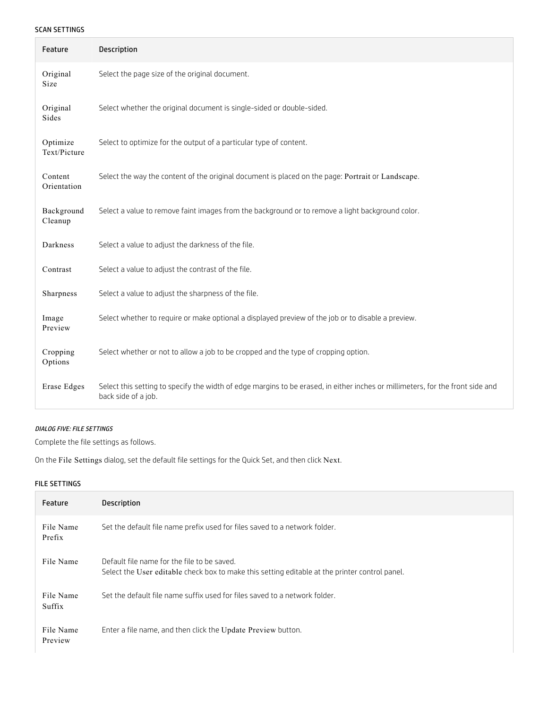# SCAN SETTINGS

| Feature                  | <b>Description</b>                                                                                                                                    |
|--------------------------|-------------------------------------------------------------------------------------------------------------------------------------------------------|
| Original<br>Size         | Select the page size of the original document.                                                                                                        |
| Original<br>Sides        | Select whether the original document is single-sided or double-sided.                                                                                 |
| Optimize<br>Text/Picture | Select to optimize for the output of a particular type of content.                                                                                    |
| Content<br>Orientation   | Select the way the content of the original document is placed on the page: Portrait or Landscape.                                                     |
| Background<br>Cleanup    | Select a value to remove faint images from the background or to remove a light background color.                                                      |
| Darkness                 | Select a value to adjust the darkness of the file.                                                                                                    |
| Contrast                 | Select a value to adjust the contrast of the file.                                                                                                    |
| Sharpness                | Select a value to adjust the sharpness of the file.                                                                                                   |
| Image<br>Preview         | Select whether to require or make optional a displayed preview of the job or to disable a preview.                                                    |
| Cropping<br>Options      | Select whether or not to allow a job to be cropped and the type of cropping option.                                                                   |
| <b>Erase Edges</b>       | Select this setting to specify the width of edge margins to be erased, in either inches or millimeters, for the front side and<br>back side of a job. |

# DIALOG FIVE: FILE SETTINGS

Complete the file settings as follows.

On the File Settings dialog, set the default file settings for the Quick Set, and then click Next.

# FILE SETTINGS

| Feature              | <b>Description</b>                                                                                                                            |
|----------------------|-----------------------------------------------------------------------------------------------------------------------------------------------|
| File Name<br>Prefix  | Set the default file name prefix used for files saved to a network folder.                                                                    |
| File Name            | Default file name for the file to be saved.<br>Select the User editable check box to make this setting editable at the printer control panel. |
| File Name<br>Suffix  | Set the default file name suffix used for files saved to a network folder.                                                                    |
| File Name<br>Preview | Enter a file name, and then click the Update Preview button.                                                                                  |